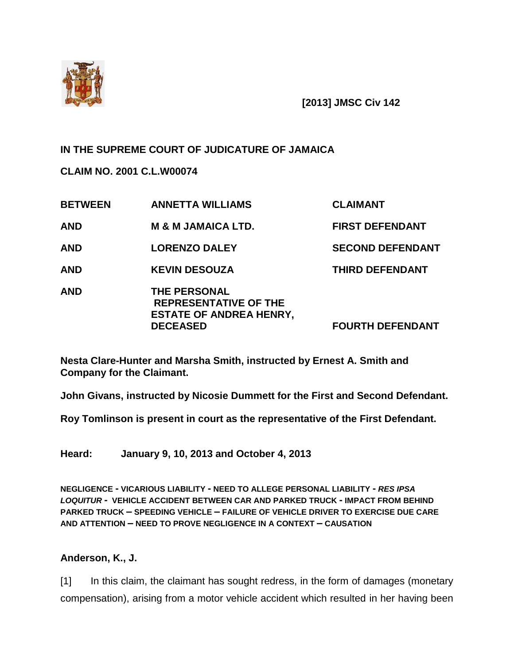

**[2013] JMSC Civ 142**

## **IN THE SUPREME COURT OF JUDICATURE OF JAMAICA**

**CLAIM NO. 2001 C.L.W00074**

| <b>BETWEEN</b> | <b>ANNETTA WILLIAMS</b>                                                                                  | <b>CLAIMANT</b>         |
|----------------|----------------------------------------------------------------------------------------------------------|-------------------------|
| <b>AND</b>     | <b>M &amp; M JAMAICA LTD.</b>                                                                            | <b>FIRST DEFENDANT</b>  |
| <b>AND</b>     | <b>LORENZO DALEY</b>                                                                                     | <b>SECOND DEFENDANT</b> |
| <b>AND</b>     | <b>KEVIN DESOUZA</b>                                                                                     | <b>THIRD DEFENDANT</b>  |
| <b>AND</b>     | <b>THE PERSONAL</b><br><b>REPRESENTATIVE OF THE</b><br><b>ESTATE OF ANDREA HENRY,</b><br><b>DECEASED</b> | <b>FOURTH DEFENDANT</b> |

**Nesta Clare-Hunter and Marsha Smith, instructed by Ernest A. Smith and Company for the Claimant.**

**John Givans, instructed by Nicosie Dummett for the First and Second Defendant.**

**Roy Tomlinson is present in court as the representative of the First Defendant.**

**Heard: January 9, 10, 2013 and October 4, 2013**

**NEGLIGENCE - VICARIOUS LIABILITY - NEED TO ALLEGE PERSONAL LIABILITY -** *RES IPSA LOQUITUR -* **VEHICLE ACCIDENT BETWEEN CAR AND PARKED TRUCK - IMPACT FROM BEHIND PARKED TRUCK – SPEEDING VEHICLE – FAILURE OF VEHICLE DRIVER TO EXERCISE DUE CARE AND ATTENTION – NEED TO PROVE NEGLIGENCE IN A CONTEXT – CAUSATION** 

## **Anderson, K., J.**

[1] In this claim, the claimant has sought redress, in the form of damages (monetary compensation), arising from a motor vehicle accident which resulted in her having been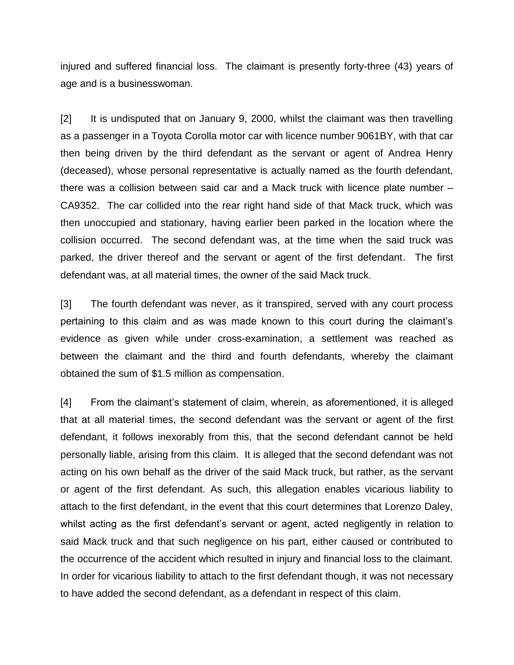injured and suffered financial loss. The claimant is presently forty-three (43) years of age and is a businesswoman.

[2] It is undisputed that on January 9, 2000, whilst the claimant was then travelling as a passenger in a Toyota Corolla motor car with licence number 9061BY, with that car then being driven by the third defendant as the servant or agent of Andrea Henry (deceased), whose personal representative is actually named as the fourth defendant, there was a collision between said car and a Mack truck with licence plate number – CA9352. The car collided into the rear right hand side of that Mack truck, which was then unoccupied and stationary, having earlier been parked in the location where the collision occurred. The second defendant was, at the time when the said truck was parked, the driver thereof and the servant or agent of the first defendant. The first defendant was, at all material times, the owner of the said Mack truck.

[3] The fourth defendant was never, as it transpired, served with any court process pertaining to this claim and as was made known to this court during the claimant's evidence as given while under cross-examination, a settlement was reached as between the claimant and the third and fourth defendants, whereby the claimant obtained the sum of \$1.5 million as compensation.

[4] From the claimant's statement of claim, wherein, as aforementioned, it is alleged that at all material times, the second defendant was the servant or agent of the first defendant, it follows inexorably from this, that the second defendant cannot be held personally liable, arising from this claim. It is alleged that the second defendant was not acting on his own behalf as the driver of the said Mack truck, but rather, as the servant or agent of the first defendant. As such, this allegation enables vicarious liability to attach to the first defendant, in the event that this court determines that Lorenzo Daley, whilst acting as the first defendant's servant or agent, acted negligently in relation to said Mack truck and that such negligence on his part, either caused or contributed to the occurrence of the accident which resulted in injury and financial loss to the claimant. In order for vicarious liability to attach to the first defendant though, it was not necessary to have added the second defendant, as a defendant in respect of this claim.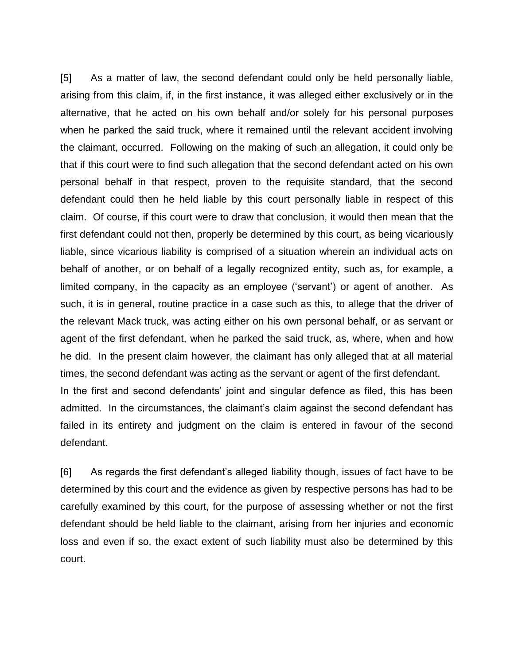[5] As a matter of law, the second defendant could only be held personally liable, arising from this claim, if, in the first instance, it was alleged either exclusively or in the alternative, that he acted on his own behalf and/or solely for his personal purposes when he parked the said truck, where it remained until the relevant accident involving the claimant, occurred. Following on the making of such an allegation, it could only be that if this court were to find such allegation that the second defendant acted on his own personal behalf in that respect, proven to the requisite standard, that the second defendant could then he held liable by this court personally liable in respect of this claim. Of course, if this court were to draw that conclusion, it would then mean that the first defendant could not then, properly be determined by this court, as being vicariously liable, since vicarious liability is comprised of a situation wherein an individual acts on behalf of another, or on behalf of a legally recognized entity, such as, for example, a limited company, in the capacity as an employee ('servant') or agent of another. As such, it is in general, routine practice in a case such as this, to allege that the driver of the relevant Mack truck, was acting either on his own personal behalf, or as servant or agent of the first defendant, when he parked the said truck, as, where, when and how he did. In the present claim however, the claimant has only alleged that at all material times, the second defendant was acting as the servant or agent of the first defendant. In the first and second defendants' joint and singular defence as filed, this has been admitted. In the circumstances, the claimant's claim against the second defendant has failed in its entirety and judgment on the claim is entered in favour of the second defendant.

[6] As regards the first defendant's alleged liability though, issues of fact have to be determined by this court and the evidence as given by respective persons has had to be carefully examined by this court, for the purpose of assessing whether or not the first defendant should be held liable to the claimant, arising from her injuries and economic loss and even if so, the exact extent of such liability must also be determined by this court.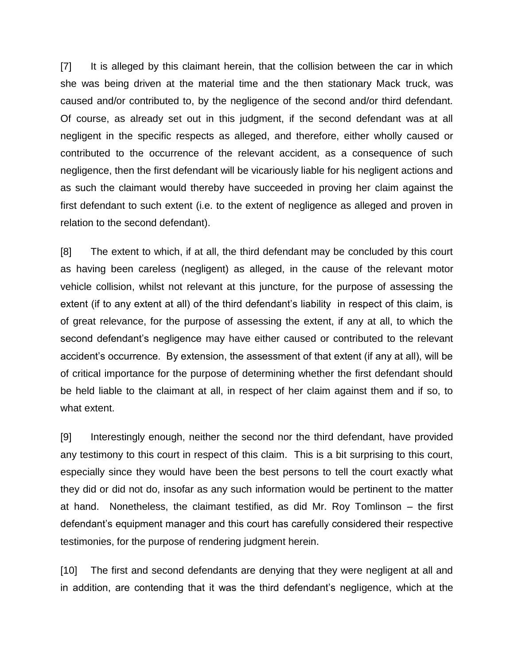[7] It is alleged by this claimant herein, that the collision between the car in which she was being driven at the material time and the then stationary Mack truck, was caused and/or contributed to, by the negligence of the second and/or third defendant. Of course, as already set out in this judgment, if the second defendant was at all negligent in the specific respects as alleged, and therefore, either wholly caused or contributed to the occurrence of the relevant accident, as a consequence of such negligence, then the first defendant will be vicariously liable for his negligent actions and as such the claimant would thereby have succeeded in proving her claim against the first defendant to such extent (i.e. to the extent of negligence as alleged and proven in relation to the second defendant).

[8] The extent to which, if at all, the third defendant may be concluded by this court as having been careless (negligent) as alleged, in the cause of the relevant motor vehicle collision, whilst not relevant at this juncture, for the purpose of assessing the extent (if to any extent at all) of the third defendant's liability in respect of this claim, is of great relevance, for the purpose of assessing the extent, if any at all, to which the second defendant's negligence may have either caused or contributed to the relevant accident's occurrence. By extension, the assessment of that extent (if any at all), will be of critical importance for the purpose of determining whether the first defendant should be held liable to the claimant at all, in respect of her claim against them and if so, to what extent.

[9] Interestingly enough, neither the second nor the third defendant, have provided any testimony to this court in respect of this claim. This is a bit surprising to this court, especially since they would have been the best persons to tell the court exactly what they did or did not do, insofar as any such information would be pertinent to the matter at hand. Nonetheless, the claimant testified, as did Mr. Roy Tomlinson – the first defendant's equipment manager and this court has carefully considered their respective testimonies, for the purpose of rendering judgment herein.

[10] The first and second defendants are denying that they were negligent at all and in addition, are contending that it was the third defendant's negligence, which at the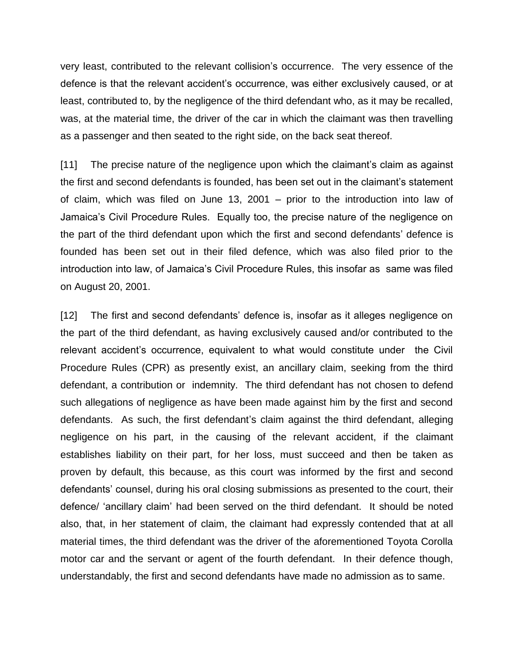very least, contributed to the relevant collision's occurrence. The very essence of the defence is that the relevant accident's occurrence, was either exclusively caused, or at least, contributed to, by the negligence of the third defendant who, as it may be recalled, was, at the material time, the driver of the car in which the claimant was then travelling as a passenger and then seated to the right side, on the back seat thereof.

[11] The precise nature of the negligence upon which the claimant's claim as against the first and second defendants is founded, has been set out in the claimant's statement of claim, which was filed on June 13, 2001 – prior to the introduction into law of Jamaica's Civil Procedure Rules. Equally too, the precise nature of the negligence on the part of the third defendant upon which the first and second defendants' defence is founded has been set out in their filed defence, which was also filed prior to the introduction into law, of Jamaica's Civil Procedure Rules, this insofar as same was filed on August 20, 2001.

[12] The first and second defendants' defence is, insofar as it alleges negligence on the part of the third defendant, as having exclusively caused and/or contributed to the relevant accident's occurrence, equivalent to what would constitute under the Civil Procedure Rules (CPR) as presently exist, an ancillary claim, seeking from the third defendant, a contribution or indemnity. The third defendant has not chosen to defend such allegations of negligence as have been made against him by the first and second defendants. As such, the first defendant's claim against the third defendant, alleging negligence on his part, in the causing of the relevant accident, if the claimant establishes liability on their part, for her loss, must succeed and then be taken as proven by default, this because, as this court was informed by the first and second defendants' counsel, during his oral closing submissions as presented to the court, their defence/ 'ancillary claim' had been served on the third defendant. It should be noted also, that, in her statement of claim, the claimant had expressly contended that at all material times, the third defendant was the driver of the aforementioned Toyota Corolla motor car and the servant or agent of the fourth defendant. In their defence though, understandably, the first and second defendants have made no admission as to same.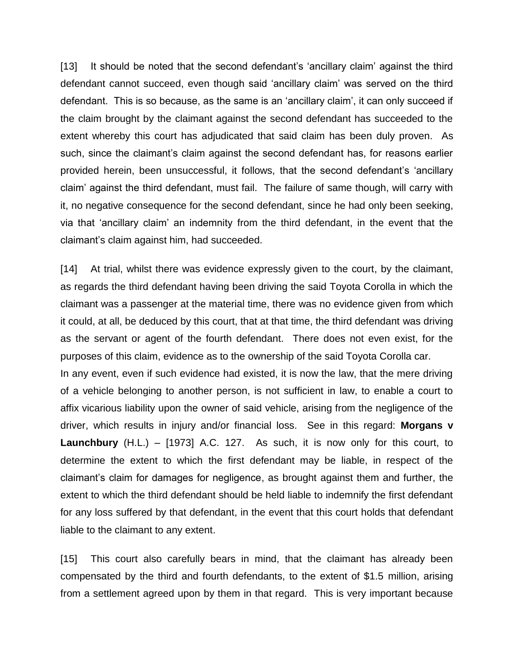[13] It should be noted that the second defendant's 'ancillary claim' against the third defendant cannot succeed, even though said 'ancillary claim' was served on the third defendant. This is so because, as the same is an 'ancillary claim', it can only succeed if the claim brought by the claimant against the second defendant has succeeded to the extent whereby this court has adjudicated that said claim has been duly proven. As such, since the claimant's claim against the second defendant has, for reasons earlier provided herein, been unsuccessful, it follows, that the second defendant's 'ancillary claim' against the third defendant, must fail. The failure of same though, will carry with it, no negative consequence for the second defendant, since he had only been seeking, via that 'ancillary claim' an indemnity from the third defendant, in the event that the claimant's claim against him, had succeeded.

[14] At trial, whilst there was evidence expressly given to the court, by the claimant, as regards the third defendant having been driving the said Toyota Corolla in which the claimant was a passenger at the material time, there was no evidence given from which it could, at all, be deduced by this court, that at that time, the third defendant was driving as the servant or agent of the fourth defendant. There does not even exist, for the purposes of this claim, evidence as to the ownership of the said Toyota Corolla car. In any event, even if such evidence had existed, it is now the law, that the mere driving of a vehicle belonging to another person, is not sufficient in law, to enable a court to affix vicarious liability upon the owner of said vehicle, arising from the negligence of the driver, which results in injury and/or financial loss. See in this regard: **Morgans v Launchbury** (H.L.) – [1973] A.C. 127. As such, it is now only for this court, to determine the extent to which the first defendant may be liable, in respect of the claimant's claim for damages for negligence, as brought against them and further, the extent to which the third defendant should be held liable to indemnify the first defendant for any loss suffered by that defendant, in the event that this court holds that defendant liable to the claimant to any extent.

[15] This court also carefully bears in mind, that the claimant has already been compensated by the third and fourth defendants, to the extent of \$1.5 million, arising from a settlement agreed upon by them in that regard. This is very important because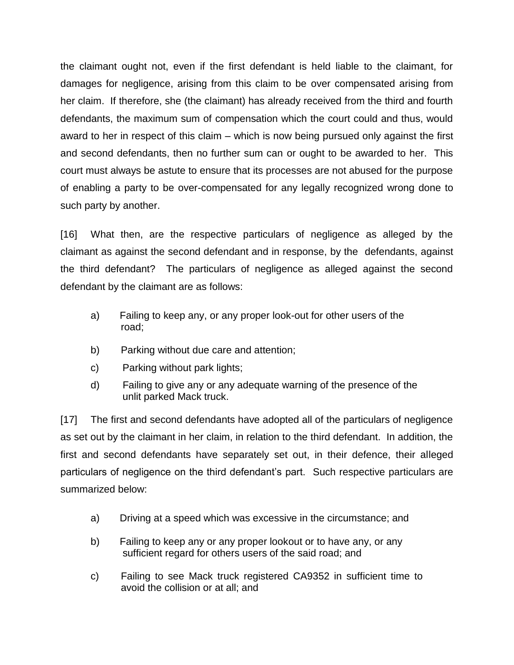the claimant ought not, even if the first defendant is held liable to the claimant, for damages for negligence, arising from this claim to be over compensated arising from her claim. If therefore, she (the claimant) has already received from the third and fourth defendants, the maximum sum of compensation which the court could and thus, would award to her in respect of this claim – which is now being pursued only against the first and second defendants, then no further sum can or ought to be awarded to her. This court must always be astute to ensure that its processes are not abused for the purpose of enabling a party to be over-compensated for any legally recognized wrong done to such party by another.

[16] What then, are the respective particulars of negligence as alleged by the claimant as against the second defendant and in response, by the defendants, against the third defendant? The particulars of negligence as alleged against the second defendant by the claimant are as follows:

- a) Failing to keep any, or any proper look-out for other users of the road;
- b) Parking without due care and attention;
- c) Parking without park lights;
- d) Failing to give any or any adequate warning of the presence of the unlit parked Mack truck.

[17] The first and second defendants have adopted all of the particulars of negligence as set out by the claimant in her claim, in relation to the third defendant. In addition, the first and second defendants have separately set out, in their defence, their alleged particulars of negligence on the third defendant's part. Such respective particulars are summarized below:

- a) Driving at a speed which was excessive in the circumstance; and
- b) Failing to keep any or any proper lookout or to have any, or any sufficient regard for others users of the said road; and
- c) Failing to see Mack truck registered CA9352 in sufficient time to avoid the collision or at all; and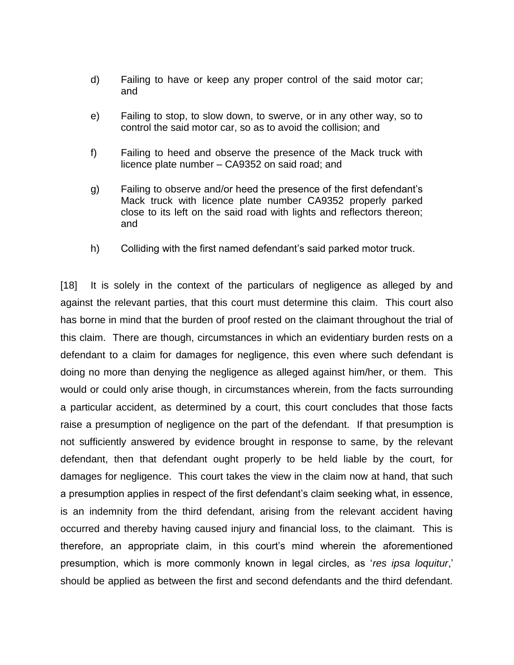- d) Failing to have or keep any proper control of the said motor car; and
- e) Failing to stop, to slow down, to swerve, or in any other way, so to control the said motor car, so as to avoid the collision; and
- f) Failing to heed and observe the presence of the Mack truck with licence plate number – CA9352 on said road; and
- g) Failing to observe and/or heed the presence of the first defendant's Mack truck with licence plate number CA9352 properly parked close to its left on the said road with lights and reflectors thereon; and
- h) Colliding with the first named defendant's said parked motor truck.

[18] It is solely in the context of the particulars of negligence as alleged by and against the relevant parties, that this court must determine this claim. This court also has borne in mind that the burden of proof rested on the claimant throughout the trial of this claim. There are though, circumstances in which an evidentiary burden rests on a defendant to a claim for damages for negligence, this even where such defendant is doing no more than denying the negligence as alleged against him/her, or them. This would or could only arise though, in circumstances wherein, from the facts surrounding a particular accident, as determined by a court, this court concludes that those facts raise a presumption of negligence on the part of the defendant. If that presumption is not sufficiently answered by evidence brought in response to same, by the relevant defendant, then that defendant ought properly to be held liable by the court, for damages for negligence. This court takes the view in the claim now at hand, that such a presumption applies in respect of the first defendant's claim seeking what, in essence, is an indemnity from the third defendant, arising from the relevant accident having occurred and thereby having caused injury and financial loss, to the claimant. This is therefore, an appropriate claim, in this court's mind wherein the aforementioned presumption, which is more commonly known in legal circles, as '*res ipsa loquitur*,' should be applied as between the first and second defendants and the third defendant.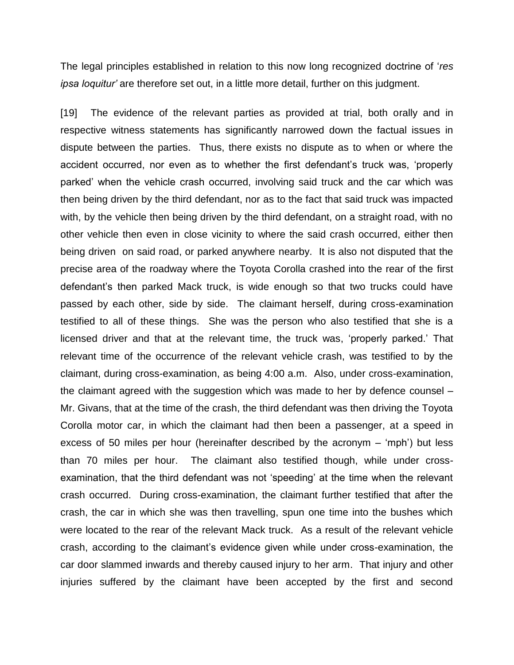The legal principles established in relation to this now long recognized doctrine of '*res ipsa loquitur'* are therefore set out, in a little more detail, further on this judgment.

[19] The evidence of the relevant parties as provided at trial, both orally and in respective witness statements has significantly narrowed down the factual issues in dispute between the parties. Thus, there exists no dispute as to when or where the accident occurred, nor even as to whether the first defendant's truck was, 'properly parked' when the vehicle crash occurred, involving said truck and the car which was then being driven by the third defendant, nor as to the fact that said truck was impacted with, by the vehicle then being driven by the third defendant, on a straight road, with no other vehicle then even in close vicinity to where the said crash occurred, either then being driven on said road, or parked anywhere nearby. It is also not disputed that the precise area of the roadway where the Toyota Corolla crashed into the rear of the first defendant's then parked Mack truck, is wide enough so that two trucks could have passed by each other, side by side. The claimant herself, during cross-examination testified to all of these things. She was the person who also testified that she is a licensed driver and that at the relevant time, the truck was, 'properly parked.' That relevant time of the occurrence of the relevant vehicle crash, was testified to by the claimant, during cross-examination, as being 4:00 a.m. Also, under cross-examination, the claimant agreed with the suggestion which was made to her by defence counsel – Mr. Givans, that at the time of the crash, the third defendant was then driving the Toyota Corolla motor car, in which the claimant had then been a passenger, at a speed in excess of 50 miles per hour (hereinafter described by the acronym – 'mph') but less than 70 miles per hour. The claimant also testified though, while under crossexamination, that the third defendant was not 'speeding' at the time when the relevant crash occurred. During cross-examination, the claimant further testified that after the crash, the car in which she was then travelling, spun one time into the bushes which were located to the rear of the relevant Mack truck. As a result of the relevant vehicle crash, according to the claimant's evidence given while under cross-examination, the car door slammed inwards and thereby caused injury to her arm. That injury and other injuries suffered by the claimant have been accepted by the first and second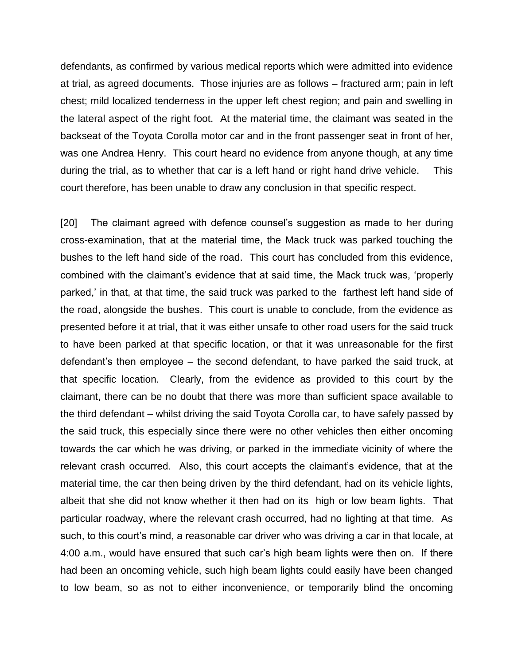defendants, as confirmed by various medical reports which were admitted into evidence at trial, as agreed documents. Those injuries are as follows – fractured arm; pain in left chest; mild localized tenderness in the upper left chest region; and pain and swelling in the lateral aspect of the right foot. At the material time, the claimant was seated in the backseat of the Toyota Corolla motor car and in the front passenger seat in front of her, was one Andrea Henry. This court heard no evidence from anyone though, at any time during the trial, as to whether that car is a left hand or right hand drive vehicle. This court therefore, has been unable to draw any conclusion in that specific respect.

[20] The claimant agreed with defence counsel's suggestion as made to her during cross-examination, that at the material time, the Mack truck was parked touching the bushes to the left hand side of the road. This court has concluded from this evidence, combined with the claimant's evidence that at said time, the Mack truck was, 'properly parked,' in that, at that time, the said truck was parked to the farthest left hand side of the road, alongside the bushes. This court is unable to conclude, from the evidence as presented before it at trial, that it was either unsafe to other road users for the said truck to have been parked at that specific location, or that it was unreasonable for the first defendant's then employee – the second defendant, to have parked the said truck, at that specific location. Clearly, from the evidence as provided to this court by the claimant, there can be no doubt that there was more than sufficient space available to the third defendant – whilst driving the said Toyota Corolla car, to have safely passed by the said truck, this especially since there were no other vehicles then either oncoming towards the car which he was driving, or parked in the immediate vicinity of where the relevant crash occurred. Also, this court accepts the claimant's evidence, that at the material time, the car then being driven by the third defendant, had on its vehicle lights, albeit that she did not know whether it then had on its high or low beam lights. That particular roadway, where the relevant crash occurred, had no lighting at that time. As such, to this court's mind, a reasonable car driver who was driving a car in that locale, at 4:00 a.m., would have ensured that such car's high beam lights were then on. If there had been an oncoming vehicle, such high beam lights could easily have been changed to low beam, so as not to either inconvenience, or temporarily blind the oncoming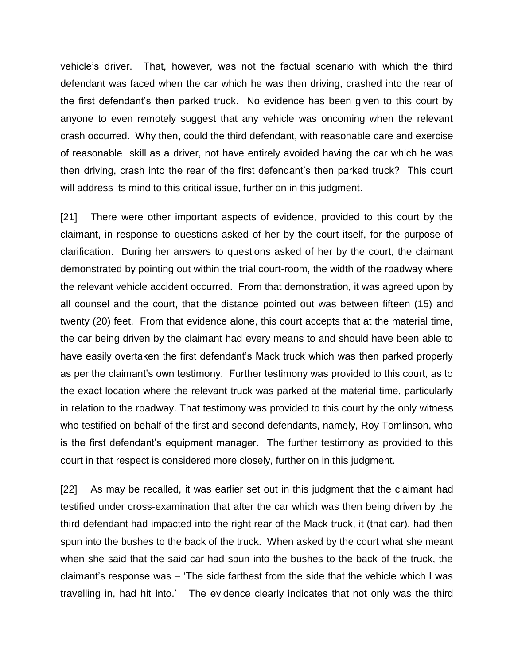vehicle's driver. That, however, was not the factual scenario with which the third defendant was faced when the car which he was then driving, crashed into the rear of the first defendant's then parked truck. No evidence has been given to this court by anyone to even remotely suggest that any vehicle was oncoming when the relevant crash occurred. Why then, could the third defendant, with reasonable care and exercise of reasonable skill as a driver, not have entirely avoided having the car which he was then driving, crash into the rear of the first defendant's then parked truck? This court will address its mind to this critical issue, further on in this judgment.

[21] There were other important aspects of evidence, provided to this court by the claimant, in response to questions asked of her by the court itself, for the purpose of clarification. During her answers to questions asked of her by the court, the claimant demonstrated by pointing out within the trial court-room, the width of the roadway where the relevant vehicle accident occurred. From that demonstration, it was agreed upon by all counsel and the court, that the distance pointed out was between fifteen (15) and twenty (20) feet. From that evidence alone, this court accepts that at the material time, the car being driven by the claimant had every means to and should have been able to have easily overtaken the first defendant's Mack truck which was then parked properly as per the claimant's own testimony. Further testimony was provided to this court, as to the exact location where the relevant truck was parked at the material time, particularly in relation to the roadway. That testimony was provided to this court by the only witness who testified on behalf of the first and second defendants, namely, Roy Tomlinson, who is the first defendant's equipment manager. The further testimony as provided to this court in that respect is considered more closely, further on in this judgment.

[22] As may be recalled, it was earlier set out in this judgment that the claimant had testified under cross-examination that after the car which was then being driven by the third defendant had impacted into the right rear of the Mack truck, it (that car), had then spun into the bushes to the back of the truck. When asked by the court what she meant when she said that the said car had spun into the bushes to the back of the truck, the claimant's response was – 'The side farthest from the side that the vehicle which I was travelling in, had hit into.' The evidence clearly indicates that not only was the third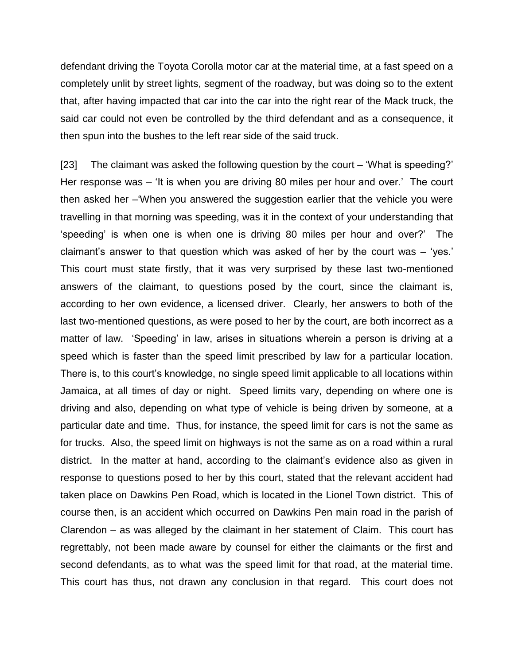defendant driving the Toyota Corolla motor car at the material time, at a fast speed on a completely unlit by street lights, segment of the roadway, but was doing so to the extent that, after having impacted that car into the car into the right rear of the Mack truck, the said car could not even be controlled by the third defendant and as a consequence, it then spun into the bushes to the left rear side of the said truck.

[23] The claimant was asked the following question by the court – 'What is speeding?' Her response was – 'It is when you are driving 80 miles per hour and over.' The court then asked her –'When you answered the suggestion earlier that the vehicle you were travelling in that morning was speeding, was it in the context of your understanding that 'speeding' is when one is when one is driving 80 miles per hour and over?' The claimant's answer to that question which was asked of her by the court was – 'yes.' This court must state firstly, that it was very surprised by these last two-mentioned answers of the claimant, to questions posed by the court, since the claimant is, according to her own evidence, a licensed driver. Clearly, her answers to both of the last two-mentioned questions, as were posed to her by the court, are both incorrect as a matter of law. 'Speeding' in law, arises in situations wherein a person is driving at a speed which is faster than the speed limit prescribed by law for a particular location. There is, to this court's knowledge, no single speed limit applicable to all locations within Jamaica, at all times of day or night. Speed limits vary, depending on where one is driving and also, depending on what type of vehicle is being driven by someone, at a particular date and time. Thus, for instance, the speed limit for cars is not the same as for trucks. Also, the speed limit on highways is not the same as on a road within a rural district. In the matter at hand, according to the claimant's evidence also as given in response to questions posed to her by this court, stated that the relevant accident had taken place on Dawkins Pen Road, which is located in the Lionel Town district. This of course then, is an accident which occurred on Dawkins Pen main road in the parish of Clarendon – as was alleged by the claimant in her statement of Claim. This court has regrettably, not been made aware by counsel for either the claimants or the first and second defendants, as to what was the speed limit for that road, at the material time. This court has thus, not drawn any conclusion in that regard. This court does not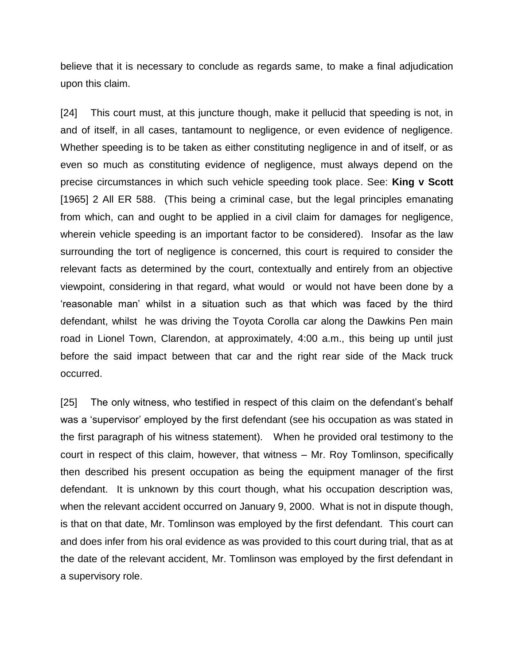believe that it is necessary to conclude as regards same, to make a final adjudication upon this claim.

[24] This court must, at this juncture though, make it pellucid that speeding is not, in and of itself, in all cases, tantamount to negligence, or even evidence of negligence. Whether speeding is to be taken as either constituting negligence in and of itself, or as even so much as constituting evidence of negligence, must always depend on the precise circumstances in which such vehicle speeding took place. See: **King v Scott** [1965] 2 All ER 588. (This being a criminal case, but the legal principles emanating from which, can and ought to be applied in a civil claim for damages for negligence, wherein vehicle speeding is an important factor to be considered). Insofar as the law surrounding the tort of negligence is concerned, this court is required to consider the relevant facts as determined by the court, contextually and entirely from an objective viewpoint, considering in that regard, what would or would not have been done by a 'reasonable man' whilst in a situation such as that which was faced by the third defendant, whilst he was driving the Toyota Corolla car along the Dawkins Pen main road in Lionel Town, Clarendon, at approximately, 4:00 a.m., this being up until just before the said impact between that car and the right rear side of the Mack truck occurred.

[25] The only witness, who testified in respect of this claim on the defendant's behalf was a 'supervisor' employed by the first defendant (see his occupation as was stated in the first paragraph of his witness statement). When he provided oral testimony to the court in respect of this claim, however, that witness – Mr. Roy Tomlinson, specifically then described his present occupation as being the equipment manager of the first defendant. It is unknown by this court though, what his occupation description was, when the relevant accident occurred on January 9, 2000. What is not in dispute though, is that on that date, Mr. Tomlinson was employed by the first defendant. This court can and does infer from his oral evidence as was provided to this court during trial, that as at the date of the relevant accident, Mr. Tomlinson was employed by the first defendant in a supervisory role.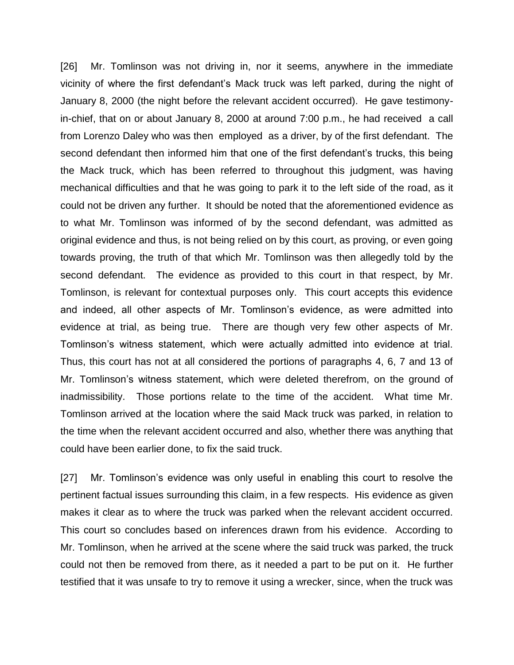[26] Mr. Tomlinson was not driving in, nor it seems, anywhere in the immediate vicinity of where the first defendant's Mack truck was left parked, during the night of January 8, 2000 (the night before the relevant accident occurred). He gave testimonyin-chief, that on or about January 8, 2000 at around 7:00 p.m., he had received a call from Lorenzo Daley who was then employed as a driver, by of the first defendant. The second defendant then informed him that one of the first defendant's trucks, this being the Mack truck, which has been referred to throughout this judgment, was having mechanical difficulties and that he was going to park it to the left side of the road, as it could not be driven any further. It should be noted that the aforementioned evidence as to what Mr. Tomlinson was informed of by the second defendant, was admitted as original evidence and thus, is not being relied on by this court, as proving, or even going towards proving, the truth of that which Mr. Tomlinson was then allegedly told by the second defendant. The evidence as provided to this court in that respect, by Mr. Tomlinson, is relevant for contextual purposes only. This court accepts this evidence and indeed, all other aspects of Mr. Tomlinson's evidence, as were admitted into evidence at trial, as being true. There are though very few other aspects of Mr. Tomlinson's witness statement, which were actually admitted into evidence at trial. Thus, this court has not at all considered the portions of paragraphs 4, 6, 7 and 13 of Mr. Tomlinson's witness statement, which were deleted therefrom, on the ground of inadmissibility. Those portions relate to the time of the accident. What time Mr. Tomlinson arrived at the location where the said Mack truck was parked, in relation to the time when the relevant accident occurred and also, whether there was anything that could have been earlier done, to fix the said truck.

[27] Mr. Tomlinson's evidence was only useful in enabling this court to resolve the pertinent factual issues surrounding this claim, in a few respects. His evidence as given makes it clear as to where the truck was parked when the relevant accident occurred. This court so concludes based on inferences drawn from his evidence. According to Mr. Tomlinson, when he arrived at the scene where the said truck was parked, the truck could not then be removed from there, as it needed a part to be put on it. He further testified that it was unsafe to try to remove it using a wrecker, since, when the truck was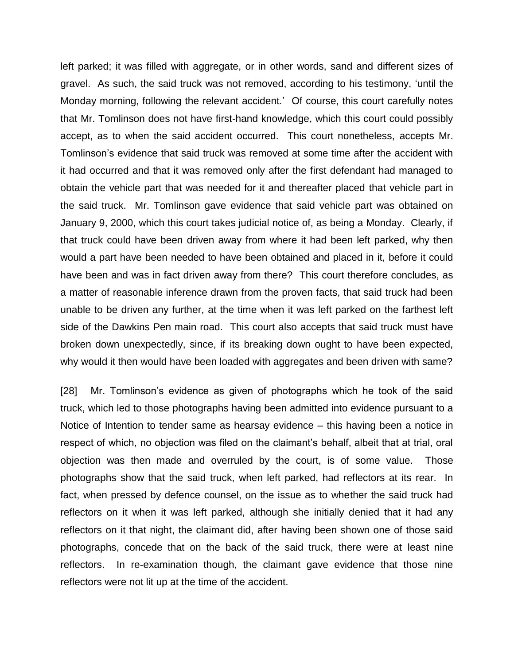left parked; it was filled with aggregate, or in other words, sand and different sizes of gravel. As such, the said truck was not removed, according to his testimony, 'until the Monday morning, following the relevant accident.' Of course, this court carefully notes that Mr. Tomlinson does not have first-hand knowledge, which this court could possibly accept, as to when the said accident occurred. This court nonetheless, accepts Mr. Tomlinson's evidence that said truck was removed at some time after the accident with it had occurred and that it was removed only after the first defendant had managed to obtain the vehicle part that was needed for it and thereafter placed that vehicle part in the said truck. Mr. Tomlinson gave evidence that said vehicle part was obtained on January 9, 2000, which this court takes judicial notice of, as being a Monday. Clearly, if that truck could have been driven away from where it had been left parked, why then would a part have been needed to have been obtained and placed in it, before it could have been and was in fact driven away from there? This court therefore concludes, as a matter of reasonable inference drawn from the proven facts, that said truck had been unable to be driven any further, at the time when it was left parked on the farthest left side of the Dawkins Pen main road. This court also accepts that said truck must have broken down unexpectedly, since, if its breaking down ought to have been expected, why would it then would have been loaded with aggregates and been driven with same?

[28] Mr. Tomlinson's evidence as given of photographs which he took of the said truck, which led to those photographs having been admitted into evidence pursuant to a Notice of Intention to tender same as hearsay evidence – this having been a notice in respect of which, no objection was filed on the claimant's behalf, albeit that at trial, oral objection was then made and overruled by the court, is of some value. Those photographs show that the said truck, when left parked, had reflectors at its rear. In fact, when pressed by defence counsel, on the issue as to whether the said truck had reflectors on it when it was left parked, although she initially denied that it had any reflectors on it that night, the claimant did, after having been shown one of those said photographs, concede that on the back of the said truck, there were at least nine reflectors. In re-examination though, the claimant gave evidence that those nine reflectors were not lit up at the time of the accident.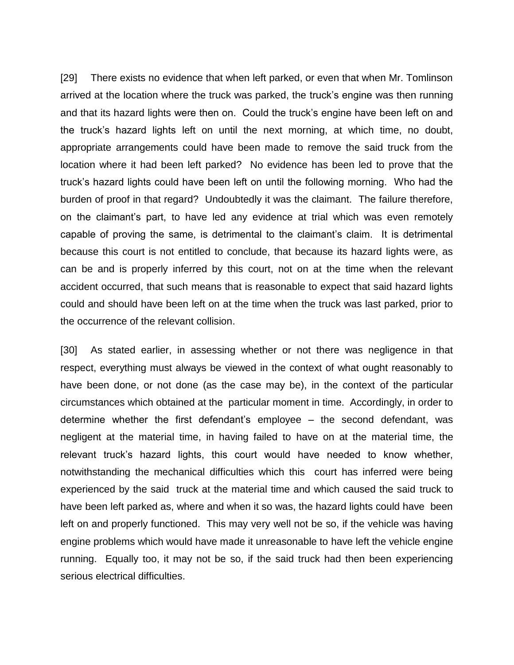[29] There exists no evidence that when left parked, or even that when Mr. Tomlinson arrived at the location where the truck was parked, the truck's engine was then running and that its hazard lights were then on. Could the truck's engine have been left on and the truck's hazard lights left on until the next morning, at which time, no doubt, appropriate arrangements could have been made to remove the said truck from the location where it had been left parked? No evidence has been led to prove that the truck's hazard lights could have been left on until the following morning. Who had the burden of proof in that regard? Undoubtedly it was the claimant. The failure therefore, on the claimant's part, to have led any evidence at trial which was even remotely capable of proving the same, is detrimental to the claimant's claim. It is detrimental because this court is not entitled to conclude, that because its hazard lights were, as can be and is properly inferred by this court, not on at the time when the relevant accident occurred, that such means that is reasonable to expect that said hazard lights could and should have been left on at the time when the truck was last parked, prior to the occurrence of the relevant collision.

[30] As stated earlier, in assessing whether or not there was negligence in that respect, everything must always be viewed in the context of what ought reasonably to have been done, or not done (as the case may be), in the context of the particular circumstances which obtained at the particular moment in time. Accordingly, in order to determine whether the first defendant's employee – the second defendant, was negligent at the material time, in having failed to have on at the material time, the relevant truck's hazard lights, this court would have needed to know whether, notwithstanding the mechanical difficulties which this court has inferred were being experienced by the said truck at the material time and which caused the said truck to have been left parked as, where and when it so was, the hazard lights could have been left on and properly functioned. This may very well not be so, if the vehicle was having engine problems which would have made it unreasonable to have left the vehicle engine running. Equally too, it may not be so, if the said truck had then been experiencing serious electrical difficulties.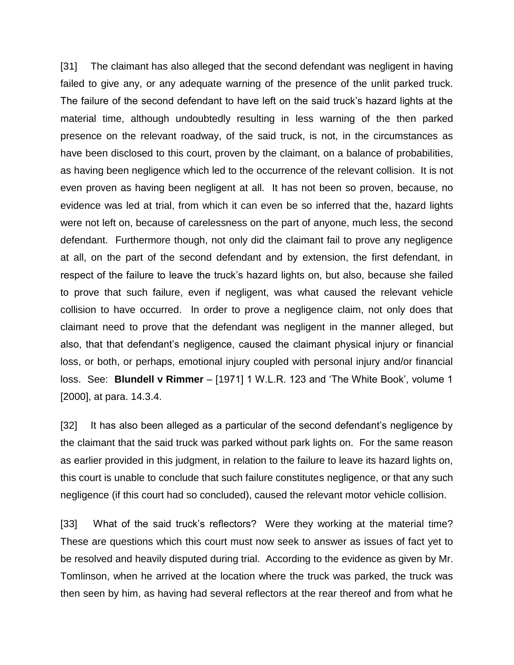[31] The claimant has also alleged that the second defendant was negligent in having failed to give any, or any adequate warning of the presence of the unlit parked truck. The failure of the second defendant to have left on the said truck's hazard lights at the material time, although undoubtedly resulting in less warning of the then parked presence on the relevant roadway, of the said truck, is not, in the circumstances as have been disclosed to this court, proven by the claimant, on a balance of probabilities, as having been negligence which led to the occurrence of the relevant collision. It is not even proven as having been negligent at all. It has not been so proven, because, no evidence was led at trial, from which it can even be so inferred that the, hazard lights were not left on, because of carelessness on the part of anyone, much less, the second defendant. Furthermore though, not only did the claimant fail to prove any negligence at all, on the part of the second defendant and by extension, the first defendant, in respect of the failure to leave the truck's hazard lights on, but also, because she failed to prove that such failure, even if negligent, was what caused the relevant vehicle collision to have occurred. In order to prove a negligence claim, not only does that claimant need to prove that the defendant was negligent in the manner alleged, but also, that that defendant's negligence, caused the claimant physical injury or financial loss, or both, or perhaps, emotional injury coupled with personal injury and/or financial loss. See: **Blundell v Rimmer** – [1971] 1 W.L.R. 123 and 'The White Book', volume 1 [2000], at para. 14.3.4.

[32] It has also been alleged as a particular of the second defendant's negligence by the claimant that the said truck was parked without park lights on. For the same reason as earlier provided in this judgment, in relation to the failure to leave its hazard lights on, this court is unable to conclude that such failure constitutes negligence, or that any such negligence (if this court had so concluded), caused the relevant motor vehicle collision.

[33] What of the said truck's reflectors? Were they working at the material time? These are questions which this court must now seek to answer as issues of fact yet to be resolved and heavily disputed during trial. According to the evidence as given by Mr. Tomlinson, when he arrived at the location where the truck was parked, the truck was then seen by him, as having had several reflectors at the rear thereof and from what he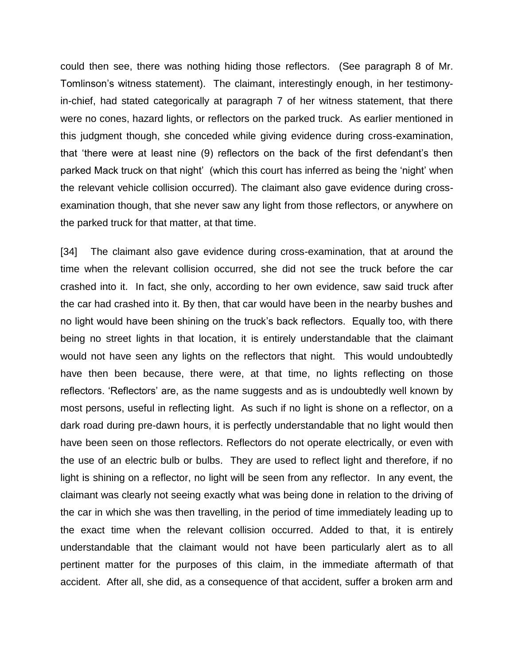could then see, there was nothing hiding those reflectors. (See paragraph 8 of Mr. Tomlinson's witness statement). The claimant, interestingly enough, in her testimonyin-chief, had stated categorically at paragraph 7 of her witness statement, that there were no cones, hazard lights, or reflectors on the parked truck. As earlier mentioned in this judgment though, she conceded while giving evidence during cross-examination, that 'there were at least nine (9) reflectors on the back of the first defendant's then parked Mack truck on that night' (which this court has inferred as being the 'night' when the relevant vehicle collision occurred). The claimant also gave evidence during crossexamination though, that she never saw any light from those reflectors, or anywhere on the parked truck for that matter, at that time.

[34] The claimant also gave evidence during cross-examination, that at around the time when the relevant collision occurred, she did not see the truck before the car crashed into it. In fact, she only, according to her own evidence, saw said truck after the car had crashed into it. By then, that car would have been in the nearby bushes and no light would have been shining on the truck's back reflectors. Equally too, with there being no street lights in that location, it is entirely understandable that the claimant would not have seen any lights on the reflectors that night. This would undoubtedly have then been because, there were, at that time, no lights reflecting on those reflectors. 'Reflectors' are, as the name suggests and as is undoubtedly well known by most persons, useful in reflecting light. As such if no light is shone on a reflector, on a dark road during pre-dawn hours, it is perfectly understandable that no light would then have been seen on those reflectors. Reflectors do not operate electrically, or even with the use of an electric bulb or bulbs. They are used to reflect light and therefore, if no light is shining on a reflector, no light will be seen from any reflector. In any event, the claimant was clearly not seeing exactly what was being done in relation to the driving of the car in which she was then travelling, in the period of time immediately leading up to the exact time when the relevant collision occurred. Added to that, it is entirely understandable that the claimant would not have been particularly alert as to all pertinent matter for the purposes of this claim, in the immediate aftermath of that accident. After all, she did, as a consequence of that accident, suffer a broken arm and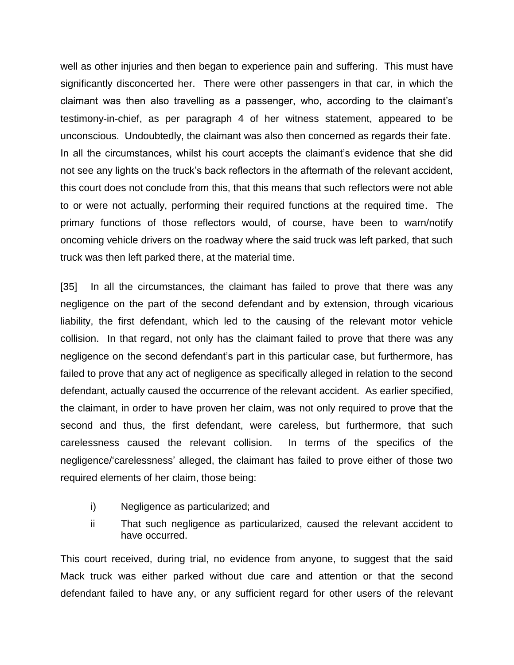well as other injuries and then began to experience pain and suffering. This must have significantly disconcerted her. There were other passengers in that car, in which the claimant was then also travelling as a passenger, who, according to the claimant's testimony-in-chief, as per paragraph 4 of her witness statement, appeared to be unconscious. Undoubtedly, the claimant was also then concerned as regards their fate. In all the circumstances, whilst his court accepts the claimant's evidence that she did not see any lights on the truck's back reflectors in the aftermath of the relevant accident, this court does not conclude from this, that this means that such reflectors were not able to or were not actually, performing their required functions at the required time. The primary functions of those reflectors would, of course, have been to warn/notify oncoming vehicle drivers on the roadway where the said truck was left parked, that such truck was then left parked there, at the material time.

[35] In all the circumstances, the claimant has failed to prove that there was any negligence on the part of the second defendant and by extension, through vicarious liability, the first defendant, which led to the causing of the relevant motor vehicle collision. In that regard, not only has the claimant failed to prove that there was any negligence on the second defendant's part in this particular case, but furthermore, has failed to prove that any act of negligence as specifically alleged in relation to the second defendant, actually caused the occurrence of the relevant accident. As earlier specified, the claimant, in order to have proven her claim, was not only required to prove that the second and thus, the first defendant, were careless, but furthermore, that such carelessness caused the relevant collision. In terms of the specifics of the negligence/'carelessness' alleged, the claimant has failed to prove either of those two required elements of her claim, those being:

- i) Negligence as particularized; and
- ii That such negligence as particularized, caused the relevant accident to have occurred.

This court received, during trial, no evidence from anyone, to suggest that the said Mack truck was either parked without due care and attention or that the second defendant failed to have any, or any sufficient regard for other users of the relevant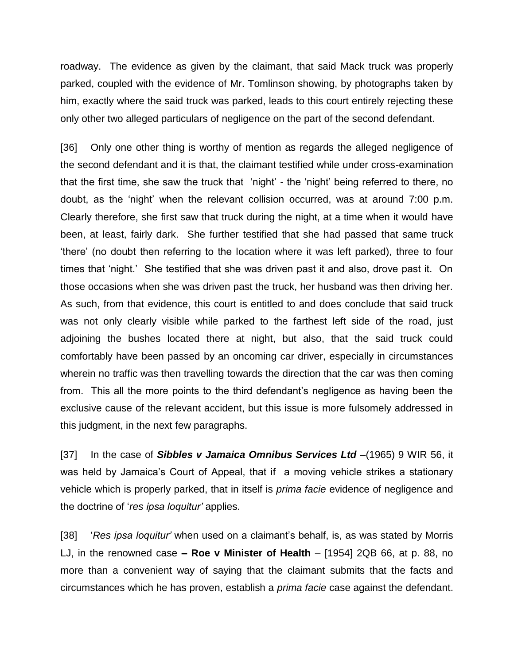roadway. The evidence as given by the claimant, that said Mack truck was properly parked, coupled with the evidence of Mr. Tomlinson showing, by photographs taken by him, exactly where the said truck was parked, leads to this court entirely rejecting these only other two alleged particulars of negligence on the part of the second defendant.

[36] Only one other thing is worthy of mention as regards the alleged negligence of the second defendant and it is that, the claimant testified while under cross-examination that the first time, she saw the truck that 'night' - the 'night' being referred to there, no doubt, as the 'night' when the relevant collision occurred, was at around 7:00 p.m. Clearly therefore, she first saw that truck during the night, at a time when it would have been, at least, fairly dark. She further testified that she had passed that same truck 'there' (no doubt then referring to the location where it was left parked), three to four times that 'night.' She testified that she was driven past it and also, drove past it. On those occasions when she was driven past the truck, her husband was then driving her. As such, from that evidence, this court is entitled to and does conclude that said truck was not only clearly visible while parked to the farthest left side of the road, just adjoining the bushes located there at night, but also, that the said truck could comfortably have been passed by an oncoming car driver, especially in circumstances wherein no traffic was then travelling towards the direction that the car was then coming from. This all the more points to the third defendant's negligence as having been the exclusive cause of the relevant accident, but this issue is more fulsomely addressed in this judgment, in the next few paragraphs.

[37] In the case of *Sibbles v Jamaica Omnibus Services Ltd* –(1965) 9 WIR 56, it was held by Jamaica's Court of Appeal, that if a moving vehicle strikes a stationary vehicle which is properly parked, that in itself is *prima facie* evidence of negligence and the doctrine of '*res ipsa loquitur'* applies.

[38] '*Res ipsa loquitur'* when used on a claimant's behalf, is, as was stated by Morris LJ, in the renowned case **– Roe v Minister of Health** – [1954] 2QB 66, at p. 88, no more than a convenient way of saying that the claimant submits that the facts and circumstances which he has proven, establish a *prima facie* case against the defendant.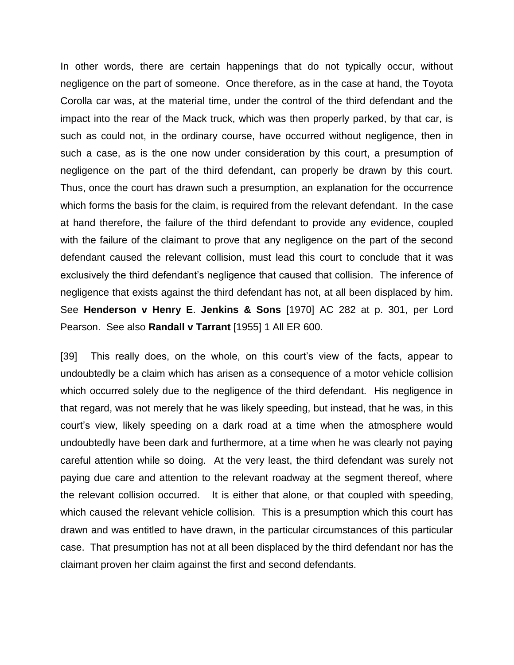In other words, there are certain happenings that do not typically occur, without negligence on the part of someone. Once therefore, as in the case at hand, the Toyota Corolla car was, at the material time, under the control of the third defendant and the impact into the rear of the Mack truck, which was then properly parked, by that car, is such as could not, in the ordinary course, have occurred without negligence, then in such a case, as is the one now under consideration by this court, a presumption of negligence on the part of the third defendant, can properly be drawn by this court. Thus, once the court has drawn such a presumption, an explanation for the occurrence which forms the basis for the claim, is required from the relevant defendant. In the case at hand therefore, the failure of the third defendant to provide any evidence, coupled with the failure of the claimant to prove that any negligence on the part of the second defendant caused the relevant collision, must lead this court to conclude that it was exclusively the third defendant's negligence that caused that collision. The inference of negligence that exists against the third defendant has not, at all been displaced by him. See **Henderson v Henry E**. **Jenkins & Sons** [1970] AC 282 at p. 301, per Lord Pearson. See also **Randall v Tarrant** [1955] 1 All ER 600.

[39] This really does, on the whole, on this court's view of the facts, appear to undoubtedly be a claim which has arisen as a consequence of a motor vehicle collision which occurred solely due to the negligence of the third defendant. His negligence in that regard, was not merely that he was likely speeding, but instead, that he was, in this court's view, likely speeding on a dark road at a time when the atmosphere would undoubtedly have been dark and furthermore, at a time when he was clearly not paying careful attention while so doing. At the very least, the third defendant was surely not paying due care and attention to the relevant roadway at the segment thereof, where the relevant collision occurred. It is either that alone, or that coupled with speeding, which caused the relevant vehicle collision. This is a presumption which this court has drawn and was entitled to have drawn, in the particular circumstances of this particular case. That presumption has not at all been displaced by the third defendant nor has the claimant proven her claim against the first and second defendants.